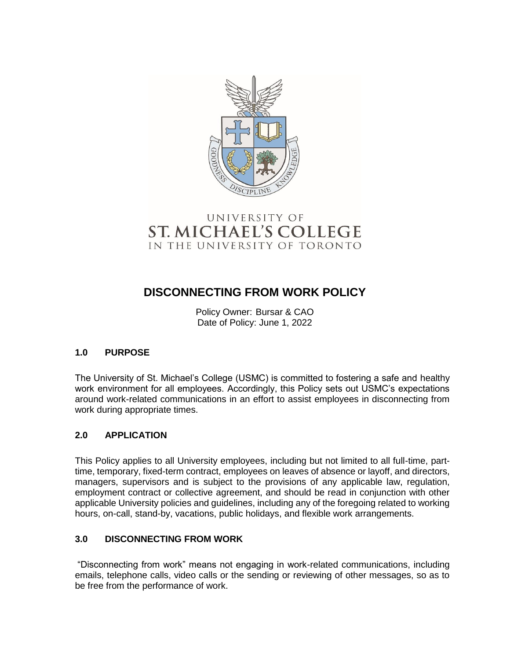

# UNIVERSITY OF **ST. MICHAEL'S COLLEGE** IN THE UNIVERSITY OF TORONTO

# **DISCONNECTING FROM WORK POLICY**

Policy Owner: Bursar & CAO Date of Policy: June 1, 2022

# **1.0 PURPOSE**

The University of St. Michael's College (USMC) is committed to fostering a safe and healthy work environment for all employees. Accordingly, this Policy sets out USMC's expectations around work-related communications in an effort to assist employees in disconnecting from work during appropriate times.

## **2.0 APPLICATION**

This Policy applies to all University employees, including but not limited to all full-time, parttime, temporary, fixed-term contract, employees on leaves of absence or layoff, and directors, managers, supervisors and is subject to the provisions of any applicable law, regulation, employment contract or collective agreement, and should be read in conjunction with other applicable University policies and guidelines, including any of the foregoing related to working hours, on-call, stand-by, vacations, public holidays, and flexible work arrangements.

## **3.0 DISCONNECTING FROM WORK**

"Disconnecting from work" means not engaging in work-related communications, including emails, telephone calls, video calls or the sending or reviewing of other messages, so as to be free from the performance of work.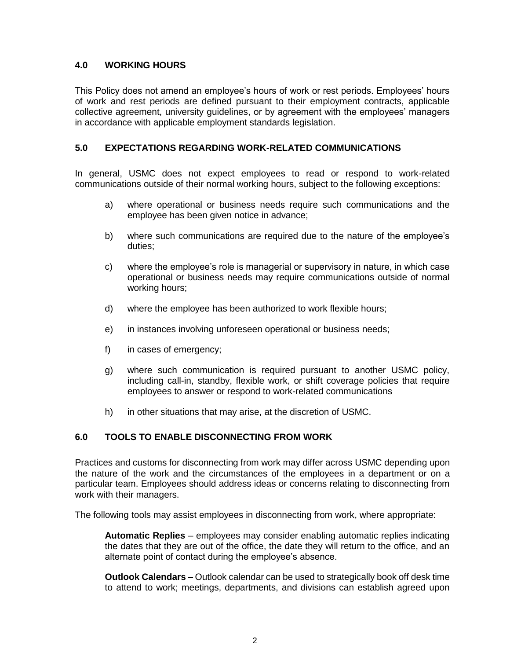#### **4.0 WORKING HOURS**

This Policy does not amend an employee's hours of work or rest periods. Employees' hours of work and rest periods are defined pursuant to their employment contracts, applicable collective agreement, university guidelines, or by agreement with the employees' managers in accordance with applicable employment standards legislation.

#### **5.0 EXPECTATIONS REGARDING WORK-RELATED COMMUNICATIONS**

In general, USMC does not expect employees to read or respond to work-related communications outside of their normal working hours, subject to the following exceptions:

- a) where operational or business needs require such communications and the employee has been given notice in advance;
- b) where such communications are required due to the nature of the employee's duties;
- c) where the employee's role is managerial or supervisory in nature, in which case operational or business needs may require communications outside of normal working hours;
- d) where the employee has been authorized to work flexible hours;
- e) in instances involving unforeseen operational or business needs;
- f) in cases of emergency;
- g) where such communication is required pursuant to another USMC policy, including call-in, standby, flexible work, or shift coverage policies that require employees to answer or respond to work-related communications
- h) in other situations that may arise, at the discretion of USMC.

## **6.0 TOOLS TO ENABLE DISCONNECTING FROM WORK**

Practices and customs for disconnecting from work may differ across USMC depending upon the nature of the work and the circumstances of the employees in a department or on a particular team. Employees should address ideas or concerns relating to disconnecting from work with their managers.

The following tools may assist employees in disconnecting from work, where appropriate:

**Automatic Replies** – employees may consider enabling automatic replies indicating the dates that they are out of the office, the date they will return to the office, and an alternate point of contact during the employee's absence.

**Outlook Calendars** – Outlook calendar can be used to strategically book off desk time to attend to work; meetings, departments, and divisions can establish agreed upon